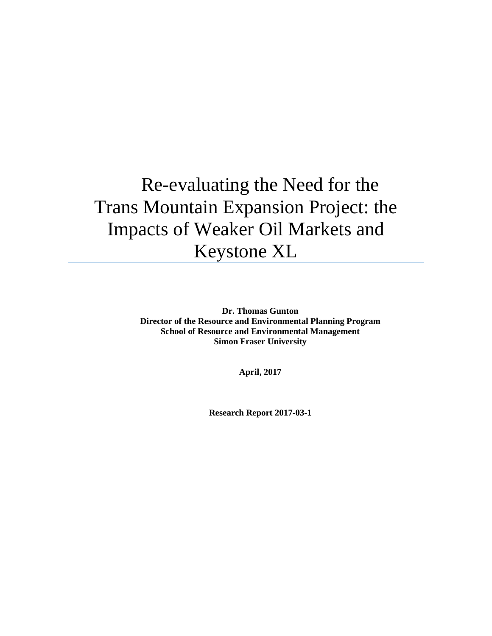# Re-evaluating the Need for the Trans Mountain Expansion Project: the Impacts of Weaker Oil Markets and Keystone XL

**Dr. Thomas Gunton Director of the Resource and Environmental Planning Program School of Resource and Environmental Management Simon Fraser University**

**April, 2017**

**Research Report 2017-03-1**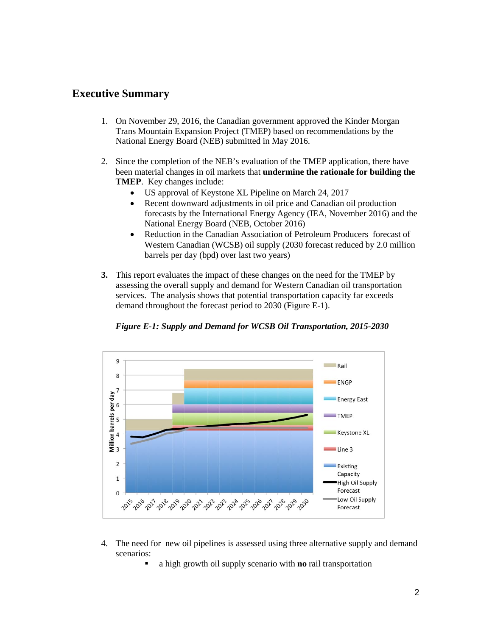# **Executive Summary**

- 1. On November 29, 2016, the Canadian government approved the Kinder Morgan Trans Mountain Expansion Project (TMEP) based on recommendations by the National Energy Board (NEB) submitted in May 2016.
- 2. Since the completion of the NEB's evaluation of the TMEP application, there have been material changes in oil markets that **undermine the rationale for building the TMEP**. Key changes include:
	- US approval of Keystone XL Pipeline on March 24, 2017
	- Recent downward adjustments in oil price and Canadian oil production forecasts by the International Energy Agency (IEA, November 2016) and the National Energy Board (NEB, October 2016)
	- Reduction in the Canadian Association of Petroleum Producers forecast of Western Canadian (WCSB) oil supply (2030 forecast reduced by 2.0 million barrels per day (bpd) over last two years)
- **3.** This report evaluates the impact of these changes on the need for the TMEP by assessing the overall supply and demand for Western Canadian oil transportation services. The analysis shows that potential transportation capacity far exceeds demand throughout the forecast period to 2030 (Figure E-1).



*Figure E-1: Supply and Demand for WCSB Oil Transportation, 2015-2030*

- 4. The need for new oil pipelines is assessed using three alternative supply and demand scenarios:
	- a high growth oil supply scenario with **no** rail transportation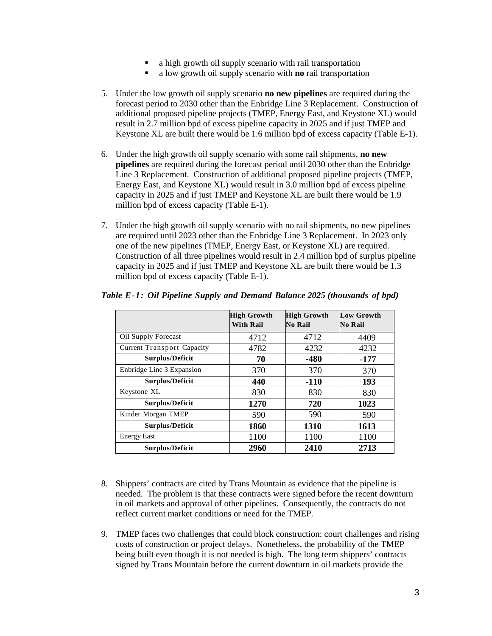- a high growth oil supply scenario with rail transportation
- a low growth oil supply scenario with **no** rail transportation
- 5. Under the low growth oil supply scenario **no new pipelines** are required during the forecast period to 2030 other than the Enbridge Line 3 Replacement. Construction of additional proposed pipeline projects (TMEP, Energy East, and Keystone XL) would result in 2.7 million bpd of excess pipeline capacity in 2025 and if just TMEP and Keystone XL are built there would be 1.6 million bpd of excess capacity (Table E-1).
- 6. Under the high growth oil supply scenario with some rail shipments, **no new pipelines** are required during the forecast period until 2030 other than the Enbridge Line 3 Replacement. Construction of additional proposed pipeline projects (TMEP, Energy East, and Keystone XL) would result in 3.0 million bpd of excess pipeline capacity in 2025 and if just TMEP and Keystone XL are built there would be 1.9 million bpd of excess capacity (Table E-1).
- 7. Under the high growth oil supply scenario with no rail shipments, no new pipelines are required until 2023 other than the Enbridge Line 3 Replacement. In 2023 only one of the new pipelines (TMEP, Energy East, or Keystone XL) are required. Construction of all three pipelines would result in 2.4 million bpd of surplus pipeline capacity in 2025 and if just TMEP and Keystone XL are built there would be 1.3 million bpd of excess capacity (Table E-1).

|                            | <b>High Growth</b><br><b>With Rail</b> | <b>High Growth</b><br>No Rail | <b>Low Growth</b><br><b>No Rail</b> |
|----------------------------|----------------------------------------|-------------------------------|-------------------------------------|
| Oil Supply Forecast        | 4712                                   | 4712                          | 4409                                |
| Current Transport Capacity | 4782                                   | 4232                          | 4232                                |
| <b>Surplus/Deficit</b>     | 70                                     | $-480$                        | $-177$                              |
| Enbridge Line 3 Expansion  | 370                                    | 370                           | 370                                 |
| <b>Surplus/Deficit</b>     | 440                                    | $-110$                        | 193                                 |
| Keystone XL                | 830                                    | 830                           | 830                                 |
| <b>Surplus/Deficit</b>     | 1270                                   | 720                           | 1023                                |
| Kinder Morgan TMEP         | 590                                    | 590                           | 590                                 |
| Surplus/Deficit            | 1860                                   | 1310                          | 1613                                |
| <b>Energy East</b>         | 1100                                   | 1100                          | 1100                                |
| <b>Surplus/Deficit</b>     | 2960                                   | 2410                          | 2713                                |

## *Table E-1: Oil Pipeline Supply and Demand Balance 2025 (thousands of bpd)*

- 8. Shippers' contracts are cited by Trans Mountain as evidence that the pipeline is needed. The problem is that these contracts were signed before the recent downturn in oil markets and approval of other pipelines. Consequently, the contracts do not reflect current market conditions or need for the TMEP.
- 9. TMEP faces two challenges that could block construction: court challenges and rising costs of construction or project delays. Nonetheless, the probability of the TMEP being built even though it is not needed is high. The long term shippers' contracts signed by Trans Mountain before the current downturn in oil markets provide the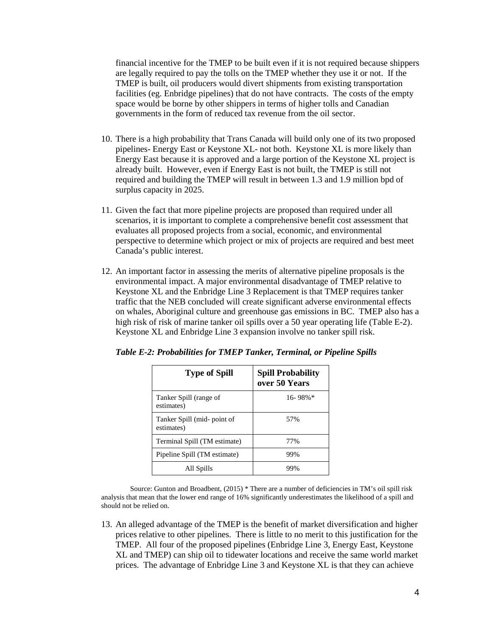financial incentive for the TMEP to be built even if it is not required because shippers are legally required to pay the tolls on the TMEP whether they use it or not. If the TMEP is built, oil producers would divert shipments from existing transportation facilities (eg. Enbridge pipelines) that do not have contracts. The costs of the empty space would be borne by other shippers in terms of higher tolls and Canadian governments in the form of reduced tax revenue from the oil sector.

- 10. There is a high probability that Trans Canada will build only one of its two proposed pipelines- Energy East or Keystone XL- not both. Keystone XL is more likely than Energy East because it is approved and a large portion of the Keystone XL project is already built. However, even if Energy East is not built, the TMEP is still not required and building the TMEP will result in between 1.3 and 1.9 million bpd of surplus capacity in 2025.
- 11. Given the fact that more pipeline projects are proposed than required under all scenarios, it is important to complete a comprehensive benefit cost assessment that evaluates all proposed projects from a social, economic, and environmental perspective to determine which project or mix of projects are required and best meet Canada's public interest.
- 12. An important factor in assessing the merits of alternative pipeline proposals is the environmental impact. A major environmental disadvantage of TMEP relative to Keystone XL and the Enbridge Line 3 Replacement is that TMEP requires tanker traffic that the NEB concluded will create significant adverse environmental effects on whales, Aboriginal culture and greenhouse gas emissions in BC. TMEP also has a high risk of risk of marine tanker oil spills over a 50 year operating life (Table E-2). Keystone XL and Enbridge Line 3 expansion involve no tanker spill risk.

| <b>Type of Spill</b>                      | <b>Spill Probability</b><br>over 50 Years |
|-------------------------------------------|-------------------------------------------|
| Tanker Spill (range of<br>estimates)      | $16 - 98\%$                               |
| Tanker Spill (mid- point of<br>estimates) | 57%                                       |
| Terminal Spill (TM estimate)              | 77%                                       |
| Pipeline Spill (TM estimate)              | 99%                                       |
| All Spills                                | 99%                                       |

*Table E-2: Probabilities for TMEP Tanker, Terminal, or Pipeline Spills*

Source: Gunton and Broadbent, (2015) \* There are a number of deficiencies in TM's oil spill risk analysis that mean that the lower end range of 16% significantly underestimates the likelihood of a spill and should not be relied on.

13. An alleged advantage of the TMEP is the benefit of market diversification and higher prices relative to other pipelines. There is little to no merit to this justification for the TMEP. All four of the proposed pipelines (Enbridge Line 3, Energy East, Keystone XL and TMEP) can ship oil to tidewater locations and receive the same world market prices. The advantage of Enbridge Line 3 and Keystone XL is that they can achieve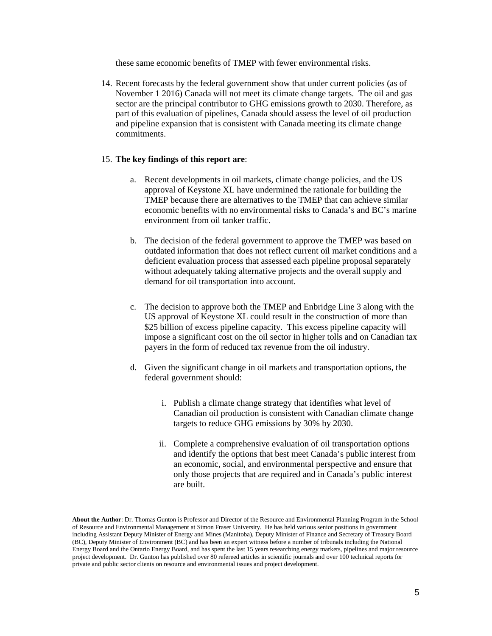these same economic benefits of TMEP with fewer environmental risks.

14. Recent forecasts by the federal government show that under current policies (as of November 1 2016) Canada will not meet its climate change targets. The oil and gas sector are the principal contributor to GHG emissions growth to 2030. Therefore, as part of this evaluation of pipelines, Canada should assess the level of oil production and pipeline expansion that is consistent with Canada meeting its climate change commitments.

#### 15. **The key findings of this report are**:

- a. Recent developments in oil markets, climate change policies, and the US approval of Keystone XL have undermined the rationale for building the TMEP because there are alternatives to the TMEP that can achieve similar economic benefits with no environmental risks to Canada's and BC's marine environment from oil tanker traffic.
- b. The decision of the federal government to approve the TMEP was based on outdated information that does not reflect current oil market conditions and a deficient evaluation process that assessed each pipeline proposal separately without adequately taking alternative projects and the overall supply and demand for oil transportation into account.
- c. The decision to approve both the TMEP and Enbridge Line 3 along with the US approval of Keystone XL could result in the construction of more than \$25 billion of excess pipeline capacity. This excess pipeline capacity will impose a significant cost on the oil sector in higher tolls and on Canadian tax payers in the form of reduced tax revenue from the oil industry.
- d. Given the significant change in oil markets and transportation options, the federal government should:
	- i. Publish a climate change strategy that identifies what level of Canadian oil production is consistent with Canadian climate change targets to reduce GHG emissions by 30% by 2030.
	- ii. Complete a comprehensive evaluation of oil transportation options and identify the options that best meet Canada's public interest from an economic, social, and environmental perspective and ensure that only those projects that are required and in Canada's public interest are built.

**About the Author**: Dr. Thomas Gunton is Professor and Director of the Resource and Environmental Planning Program in the School of Resource and Environmental Management at Simon Fraser University. He has held various senior positions in government including Assistant Deputy Minister of Energy and Mines (Manitoba), Deputy Minister of Finance and Secretary of Treasury Board (BC), Deputy Minister of Environment (BC) and has been an expert witness before a number of tribunals including the National Energy Board and the Ontario Energy Board, and has spent the last 15 years researching energy markets, pipelines and major resource project development. Dr. Gunton has published over 80 refereed articles in scientific journals and over 100 technical reports for private and public sector clients on resource and environmental issues and project development.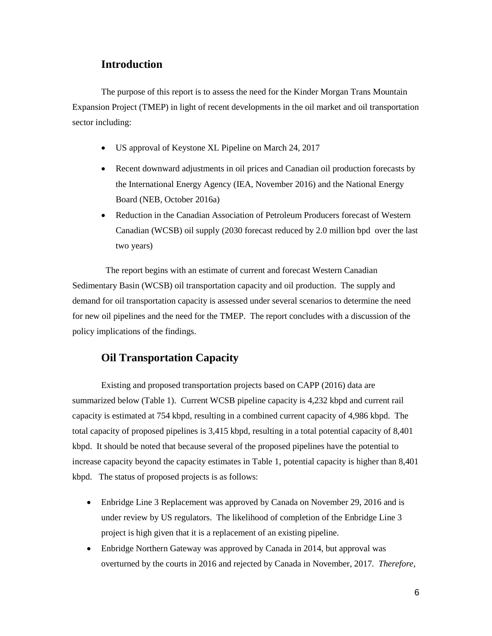## **Introduction**

The purpose of this report is to assess the need for the Kinder Morgan Trans Mountain Expansion Project (TMEP) in light of recent developments in the oil market and oil transportation sector including:

- US approval of Keystone XL Pipeline on March 24, 2017
- Recent downward adjustments in oil prices and Canadian oil production forecasts by the International Energy Agency (IEA, November 2016) and the National Energy Board (NEB, October 2016a)
- Reduction in the Canadian Association of Petroleum Producers forecast of Western Canadian (WCSB) oil supply (2030 forecast reduced by 2.0 million bpd over the last two years)

 The report begins with an estimate of current and forecast Western Canadian Sedimentary Basin (WCSB) oil transportation capacity and oil production. The supply and demand for oil transportation capacity is assessed under several scenarios to determine the need for new oil pipelines and the need for the TMEP. The report concludes with a discussion of the policy implications of the findings.

## **Oil Transportation Capacity**

Existing and proposed transportation projects based on CAPP (2016) data are summarized below [\(Table 1\)](#page-6-0). Current WCSB pipeline capacity is 4,232 kbpd and current rail capacity is estimated at 754 kbpd, resulting in a combined current capacity of 4,986 kbpd. The total capacity of proposed pipelines is 3,415 kbpd, resulting in a total potential capacity of 8,401 kbpd. It should be noted that because several of the proposed pipelines have the potential to increase capacity beyond the capacity estimates in Table 1, potential capacity is higher than 8,401 kbpd. The status of proposed projects is as follows:

- Enbridge Line 3 Replacement was approved by Canada on November 29, 2016 and is under review by US regulators. The likelihood of completion of the Enbridge Line 3 project is high given that it is a replacement of an existing pipeline.
- Enbridge Northern Gateway was approved by Canada in 2014, but approval was overturned by the courts in 2016 and rejected by Canada in November, 2017*. Therefore,*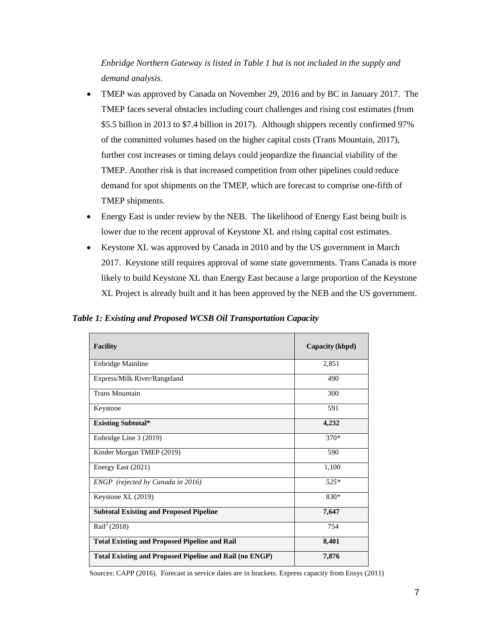*Enbridge Northern Gateway is listed in Table 1 but is not included in the supply and demand analysis*.

- TMEP was approved by Canada on November 29, 2016 and by BC in January 2017. The TMEP faces several obstacles including court challenges and rising cost estimates (from \$5.5 billion in 2013 to \$7.4 billion in 2017). Although shippers recently confirmed 97% of the committed volumes based on the higher capital costs (Trans Mountain, 2017), further cost increases or timing delays could jeopardize the financial viability of the TMEP. Another risk is that increased competition from other pipelines could reduce demand for spot shipments on the TMEP, which are forecast to comprise one-fifth of TMEP shipments.
- Energy East is under review by the NEB. The likelihood of Energy East being built is lower due to the recent approval of Keystone XL and rising capital cost estimates.
- Keystone XL was approved by Canada in 2010 and by the US government in March 2017. Keystone still requires approval of some state governments. Trans Canada is more likely to build Keystone XL than Energy East because a large proportion of the Keystone XL Project is already built and it has been approved by the NEB and the US government.

#### <span id="page-6-0"></span>*Table 1: Existing and Proposed WCSB Oil Transportation Capacity*

| <b>Facility</b>                                                | Capacity (kbpd) |
|----------------------------------------------------------------|-----------------|
| <b>Enbridge Mainline</b>                                       | 2,851           |
| Express/Milk River/Rangeland                                   | 490             |
| <b>Trans Mountain</b>                                          | 300             |
| Keystone                                                       | 591             |
| <b>Existing Subtotal*</b>                                      | 4,232           |
| Enbridge Line 3 (2019)                                         | $370*$          |
| Kinder Morgan TMEP (2019)                                      | 590             |
| Energy East (2021)                                             | 1,100           |
| ENGP (rejected by Canada in 2016)                              | $525*$          |
| Keystone XL (2019)                                             | 830*            |
| <b>Subtotal Existing and Proposed Pipeline</b>                 | 7,647           |
| Rail <sup>2</sup> (2018)                                       | 754             |
| <b>Total Existing and Proposed Pipeline and Rail</b>           | 8,401           |
| <b>Total Existing and Proposed Pipeline and Rail (no ENGP)</b> | 7,876           |

Sources: CAPP (2016). Forecast in service dates are in brackets. Express capacity from Ensys (2011)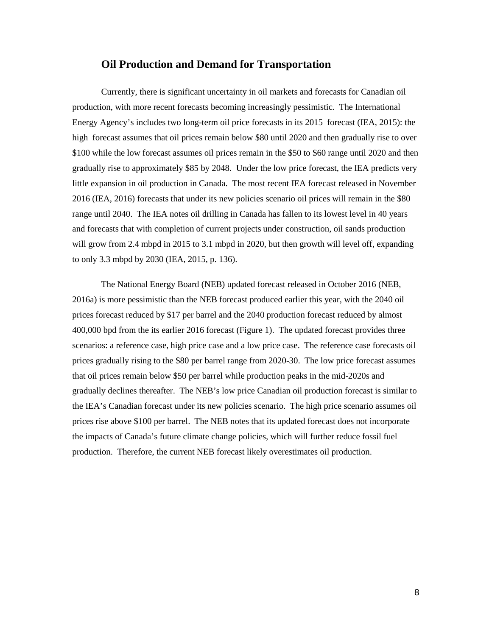## **Oil Production and Demand for Transportation**

Currently, there is significant uncertainty in oil markets and forecasts for Canadian oil production, with more recent forecasts becoming increasingly pessimistic. The International Energy Agency's includes two long-term oil price forecasts in its 2015 forecast (IEA, 2015): the high forecast assumes that oil prices remain below \$80 until 2020 and then gradually rise to over \$100 while the low forecast assumes oil prices remain in the \$50 to \$60 range until 2020 and then gradually rise to approximately \$85 by 2048. Under the low price forecast, the IEA predicts very little expansion in oil production in Canada. The most recent IEA forecast released in November 2016 (IEA, 2016) forecasts that under its new policies scenario oil prices will remain in the \$80 range until 2040. The IEA notes oil drilling in Canada has fallen to its lowest level in 40 years and forecasts that with completion of current projects under construction, oil sands production will grow from 2.4 mbpd in 2015 to 3.1 mbpd in 2020, but then growth will level off, expanding to only 3.3 mbpd by 2030 (IEA, 2015, p. 136).

The National Energy Board (NEB) updated forecast released in October 2016 (NEB, 2016a) is more pessimistic than the NEB forecast produced earlier this year, with the 2040 oil prices forecast reduced by \$17 per barrel and the 2040 production forecast reduced by almost 400,000 bpd from the its earlier 2016 forecast (Figure 1). The updated forecast provides three scenarios: a reference case, high price case and a low price case. The reference case forecasts oil prices gradually rising to the \$80 per barrel range from 2020-30. The low price forecast assumes that oil prices remain below \$50 per barrel while production peaks in the mid-2020s and gradually declines thereafter. The NEB's low price Canadian oil production forecast is similar to the IEA's Canadian forecast under its new policies scenario. The high price scenario assumes oil prices rise above \$100 per barrel. The NEB notes that its updated forecast does not incorporate the impacts of Canada's future climate change policies, which will further reduce fossil fuel production. Therefore, the current NEB forecast likely overestimates oil production.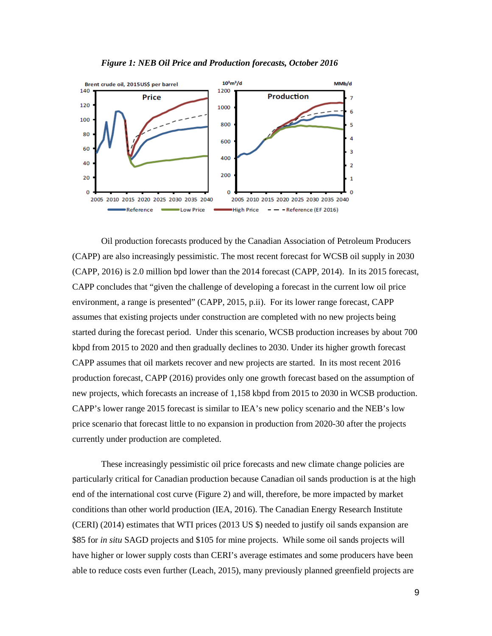



Oil production forecasts produced by the Canadian Association of Petroleum Producers (CAPP) are also increasingly pessimistic. The most recent forecast for WCSB oil supply in 2030 (CAPP, 2016) is 2.0 million bpd lower than the 2014 forecast (CAPP, 2014). In its 2015 forecast, CAPP concludes that "given the challenge of developing a forecast in the current low oil price environment, a range is presented" (CAPP, 2015, p.ii). For its lower range forecast, CAPP assumes that existing projects under construction are completed with no new projects being started during the forecast period. Under this scenario, WCSB production increases by about 700 kbpd from 2015 to 2020 and then gradually declines to 2030. Under its higher growth forecast CAPP assumes that oil markets recover and new projects are started. In its most recent 2016 production forecast, CAPP (2016) provides only one growth forecast based on the assumption of new projects, which forecasts an increase of 1,158 kbpd from 2015 to 2030 in WCSB production. CAPP's lower range 2015 forecast is similar to IEA's new policy scenario and the NEB's low price scenario that forecast little to no expansion in production from 2020-30 after the projects currently under production are completed.

These increasingly pessimistic oil price forecasts and new climate change policies are particularly critical for Canadian production because Canadian oil sands production is at the high end of the international cost curve (Figure 2) and will, therefore, be more impacted by market conditions than other world production (IEA, 2016). The Canadian Energy Research Institute (CERI) (2014) estimates that WTI prices (2013 US \$) needed to justify oil sands expansion are \$85 for *in situ* SAGD projects and \$105 for mine projects. While some oil sands projects will have higher or lower supply costs than CERI's average estimates and some producers have been able to reduce costs even further (Leach, 2015), many previously planned greenfield projects are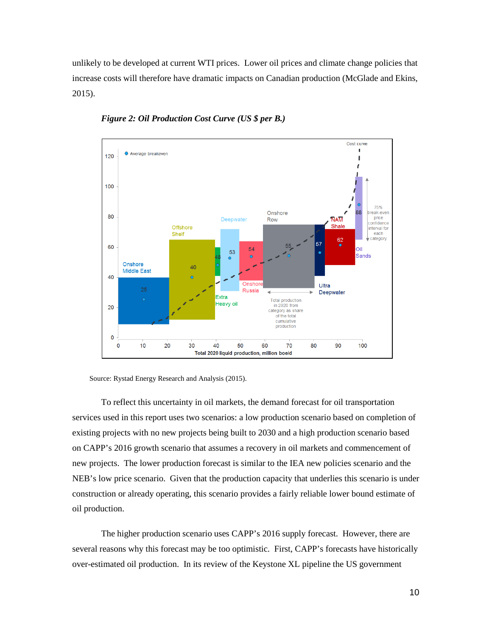unlikely to be developed at current WTI prices. Lower oil prices and climate change policies that increase costs will therefore have dramatic impacts on Canadian production (McGlade and Ekins, 2015).



*Figure 2: Oil Production Cost Curve (US \$ per B.)*

Source: Rystad Energy Research and Analysis (2015).

To reflect this uncertainty in oil markets, the demand forecast for oil transportation services used in this report uses two scenarios: a low production scenario based on completion of existing projects with no new projects being built to 2030 and a high production scenario based on CAPP's 2016 growth scenario that assumes a recovery in oil markets and commencement of new projects. The lower production forecast is similar to the IEA new policies scenario and the NEB's low price scenario. Given that the production capacity that underlies this scenario is under construction or already operating, this scenario provides a fairly reliable lower bound estimate of oil production.

The higher production scenario uses CAPP's 2016 supply forecast. However, there are several reasons why this forecast may be too optimistic. First, CAPP's forecasts have historically over-estimated oil production. In its review of the Keystone XL pipeline the US government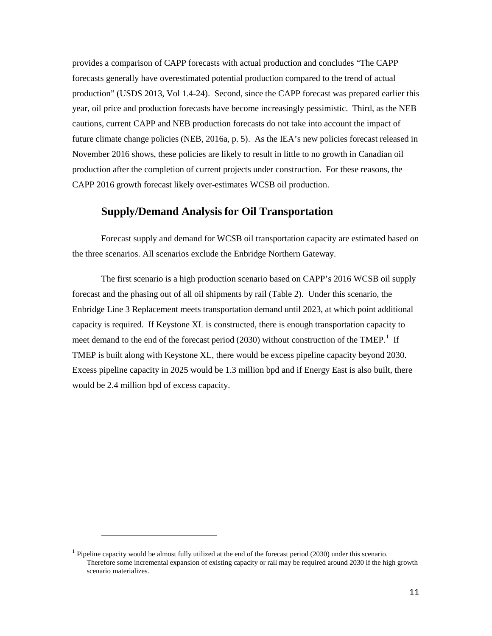provides a comparison of CAPP forecasts with actual production and concludes "The CAPP forecasts generally have overestimated potential production compared to the trend of actual production" (USDS 2013, Vol 1.4-24). Second, since the CAPP forecast was prepared earlier this year, oil price and production forecasts have become increasingly pessimistic. Third, as the NEB cautions, current CAPP and NEB production forecasts do not take into account the impact of future climate change policies (NEB, 2016a, p. 5). As the IEA's new policies forecast released in November 2016 shows, these policies are likely to result in little to no growth in Canadian oil production after the completion of current projects under construction. For these reasons, the CAPP 2016 growth forecast likely over-estimates WCSB oil production.

## **Supply/Demand Analysis for Oil Transportation**

Forecast supply and demand for WCSB oil transportation capacity are estimated based on the three scenarios. All scenarios exclude the Enbridge Northern Gateway.

The first scenario is a high production scenario based on CAPP's 2016 WCSB oil supply forecast and the phasing out of all oil shipments by rail (Table 2). Under this scenario, the Enbridge Line 3 Replacement meets transportation demand until 2023, at which point additional capacity is required. If Keystone XL is constructed, there is enough transportation capacity to meet demand to the end of the forecast period (2030) without construction of the TMEP.<sup>[1](#page-10-0)</sup> If TMEP is built along with Keystone XL, there would be excess pipeline capacity beyond 2030. Excess pipeline capacity in 2025 would be 1.3 million bpd and if Energy East is also built, there would be 2.4 million bpd of excess capacity.

 $\ddot{\phantom{a}}$ 

<span id="page-10-0"></span><sup>&</sup>lt;sup>1</sup> Pipeline capacity would be almost fully utilized at the end of the forecast period (2030) under this scenario. Therefore some incremental expansion of existing capacity or rail may be required around 2030 if the high growth scenario materializes.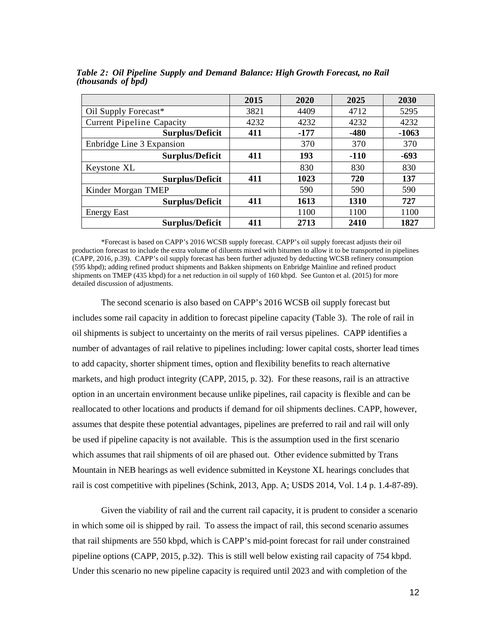|                                  | 2015 | 2020   | 2025   | 2030    |
|----------------------------------|------|--------|--------|---------|
| Oil Supply Forecast*             | 3821 | 4409   | 4712   | 5295    |
| <b>Current Pipeline Capacity</b> | 4232 | 4232   | 4232   | 4232    |
| <b>Surplus/Deficit</b>           | 411  | $-177$ | $-480$ | $-1063$ |
| Enbridge Line 3 Expansion        |      | 370    | 370    | 370     |
| <b>Surplus/Deficit</b>           | 411  | 193    | $-110$ | $-693$  |
| Keystone XL                      |      | 830    | 830    | 830     |
| <b>Surplus/Deficit</b>           | 411  | 1023   | 720    | 137     |
| Kinder Morgan TMEP               |      | 590    | 590    | 590     |
| <b>Surplus/Deficit</b>           | 411  | 1613   | 1310   | 727     |
| <b>Energy East</b>               |      | 1100   | 1100   | 1100    |
| <b>Surplus/Deficit</b>           | 411  | 2713   | 2410   | 1827    |

*Table 2: Oil Pipeline Supply and Demand Balance: High Growth Forecast, no Rail (thousands of bpd)*

\*Forecast is based on CAPP's 2016 WCSB supply forecast. CAPP's oil supply forecast adjusts their oil production forecast to include the extra volume of diluents mixed with bitumen to allow it to be transported in pipelines (CAPP, 2016, p.39). CAPP's oil supply forecast has been further adjusted by deducting WCSB refinery consumption (595 kbpd); adding refined product shipments and Bakken shipments on Enbridge Mainline and refined product shipments on TMEP (435 kbpd) for a net reduction in oil supply of 160 kbpd. See Gunton et al. (2015) for more detailed discussion of adjustments.

The second scenario is also based on CAPP's 2016 WCSB oil supply forecast but includes some rail capacity in addition to forecast pipeline capacity (Table 3). The role of rail in oil shipments is subject to uncertainty on the merits of rail versus pipelines. CAPP identifies a number of advantages of rail relative to pipelines including: lower capital costs, shorter lead times to add capacity, shorter shipment times, option and flexibility benefits to reach alternative markets, and high product integrity (CAPP, 2015, p. 32). For these reasons, rail is an attractive option in an uncertain environment because unlike pipelines, rail capacity is flexible and can be reallocated to other locations and products if demand for oil shipments declines. CAPP, however, assumes that despite these potential advantages, pipelines are preferred to rail and rail will only be used if pipeline capacity is not available. This is the assumption used in the first scenario which assumes that rail shipments of oil are phased out. Other evidence submitted by Trans Mountain in NEB hearings as well evidence submitted in Keystone XL hearings concludes that rail is cost competitive with pipelines (Schink, 2013, App. A; USDS 2014, Vol. 1.4 p. 1.4-87-89).

Given the viability of rail and the current rail capacity, it is prudent to consider a scenario in which some oil is shipped by rail. To assess the impact of rail, this second scenario assumes that rail shipments are 550 kbpd, which is CAPP's mid-point forecast for rail under constrained pipeline options (CAPP, 2015, p.32). This is still well below existing rail capacity of 754 kbpd. Under this scenario no new pipeline capacity is required until 2023 and with completion of the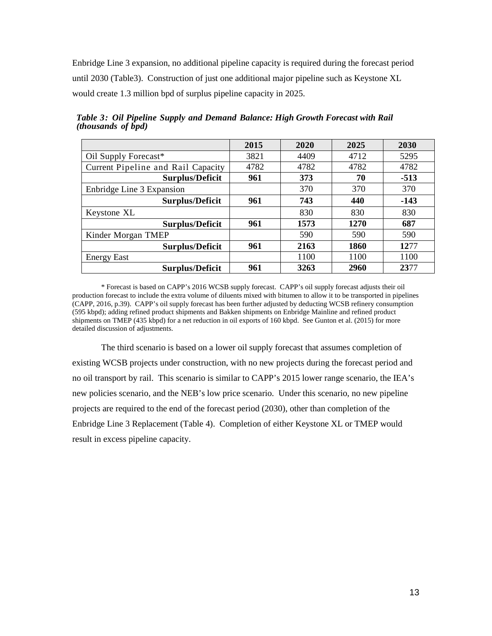Enbridge Line 3 expansion, no additional pipeline capacity is required during the forecast period until 2030 (Table3). Construction of just one additional major pipeline such as Keystone XL would create 1.3 million bpd of surplus pipeline capacity in 2025.

|                                    | 2015 | 2020 | 2025 | 2030   |
|------------------------------------|------|------|------|--------|
| Oil Supply Forecast*               | 3821 | 4409 | 4712 | 5295   |
| Current Pipeline and Rail Capacity | 4782 | 4782 | 4782 | 4782   |
| <b>Surplus/Deficit</b>             | 961  | 373  | 70   | $-513$ |
| Enbridge Line 3 Expansion          |      | 370  | 370  | 370    |
| <b>Surplus/Deficit</b>             | 961  | 743  | 440  | $-143$ |
| Keystone XL                        |      | 830  | 830  | 830    |
| <b>Surplus/Deficit</b>             | 961  | 1573 | 1270 | 687    |
| Kinder Morgan TMEP                 |      | 590  | 590  | 590    |
| <b>Surplus/Deficit</b>             | 961  | 2163 | 1860 | 1277   |
| <b>Energy East</b>                 |      | 1100 | 1100 | 1100   |
| <b>Surplus/Deficit</b>             | 961  | 3263 | 2960 | 2377   |

*Table 3: Oil Pipeline Supply and Demand Balance: High Growth Forecast with Rail (thousands of bpd)*

\* Forecast is based on CAPP's 2016 WCSB supply forecast. CAPP's oil supply forecast adjusts their oil production forecast to include the extra volume of diluents mixed with bitumen to allow it to be transported in pipelines (CAPP, 2016, p.39). CAPP's oil supply forecast has been further adjusted by deducting WCSB refinery consumption (595 kbpd); adding refined product shipments and Bakken shipments on Enbridge Mainline and refined product shipments on TMEP (435 kbpd) for a net reduction in oil exports of 160 kbpd. See Gunton et al. (2015) for more detailed discussion of adjustments.

The third scenario is based on a lower oil supply forecast that assumes completion of existing WCSB projects under construction, with no new projects during the forecast period and no oil transport by rail. This scenario is similar to CAPP's 2015 lower range scenario, the IEA's new policies scenario, and the NEB's low price scenario. Under this scenario, no new pipeline projects are required to the end of the forecast period (2030), other than completion of the Enbridge Line 3 Replacement (Table 4). Completion of either Keystone XL or TMEP would result in excess pipeline capacity.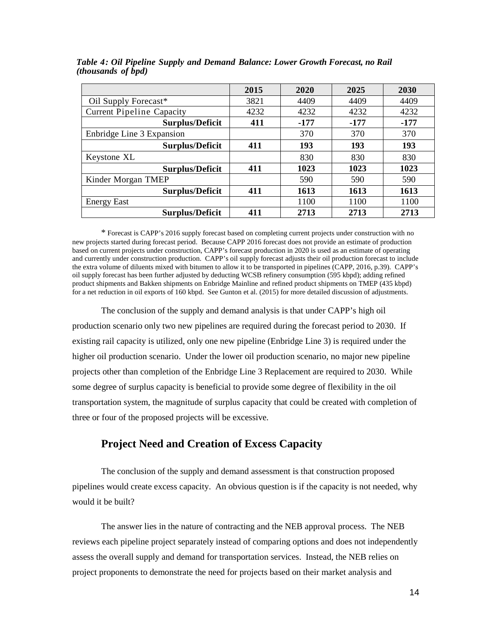|                                  | 2015 | 2020 | 2025   | 2030   |
|----------------------------------|------|------|--------|--------|
| Oil Supply Forecast*             | 3821 | 4409 | 4409   | 4409   |
| <b>Current Pipeline Capacity</b> | 4232 | 4232 | 4232   | 4232   |
| <b>Surplus/Deficit</b>           | 411  | -177 | $-177$ | $-177$ |
| Enbridge Line 3 Expansion        |      | 370  | 370    | 370    |
| <b>Surplus/Deficit</b>           | 411  | 193  | 193    | 193    |
| Keystone XL                      |      | 830  | 830    | 830    |
| <b>Surplus/Deficit</b>           | 411  | 1023 | 1023   | 1023   |
| Kinder Morgan TMEP               |      | 590  | 590    | 590    |
| <b>Surplus/Deficit</b>           | 411  | 1613 | 1613   | 1613   |
| <b>Energy East</b>               |      | 1100 | 1100   | 1100   |
| <b>Surplus/Deficit</b>           | 411  | 2713 | 2713   | 2713   |

*Table 4: Oil Pipeline Supply and Demand Balance: Lower Growth Forecast, no Rail (thousands of bpd)*

\* Forecast is CAPP's 2016 supply forecast based on completing current projects under construction with no new projects started during forecast period. Because CAPP 2016 forecast does not provide an estimate of production based on current projects under construction, CAPP's forecast production in 2020 is used as an estimate of operating and currently under construction production. CAPP's oil supply forecast adjusts their oil production forecast to include the extra volume of diluents mixed with bitumen to allow it to be transported in pipelines (CAPP, 2016, p.39). CAPP's oil supply forecast has been further adjusted by deducting WCSB refinery consumption (595 kbpd); adding refined product shipments and Bakken shipments on Enbridge Mainline and refined product shipments on TMEP (435 kbpd) for a net reduction in oil exports of 160 kbpd. See Gunton et al. (2015) for more detailed discussion of adjustments.

The conclusion of the supply and demand analysis is that under CAPP's high oil production scenario only two new pipelines are required during the forecast period to 2030. If existing rail capacity is utilized, only one new pipeline (Enbridge Line 3) is required under the higher oil production scenario. Under the lower oil production scenario, no major new pipeline projects other than completion of the Enbridge Line 3 Replacement are required to 2030. While some degree of surplus capacity is beneficial to provide some degree of flexibility in the oil transportation system, the magnitude of surplus capacity that could be created with completion of three or four of the proposed projects will be excessive.

## **Project Need and Creation of Excess Capacity**

The conclusion of the supply and demand assessment is that construction proposed pipelines would create excess capacity. An obvious question is if the capacity is not needed, why would it be built?

The answer lies in the nature of contracting and the NEB approval process. The NEB reviews each pipeline project separately instead of comparing options and does not independently assess the overall supply and demand for transportation services. Instead, the NEB relies on project proponents to demonstrate the need for projects based on their market analysis and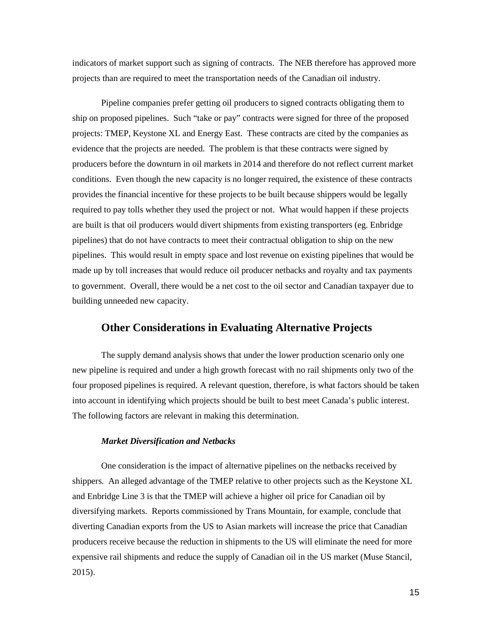indicators of market support such as signing of contracts. The NEB therefore has approved more projects than are required to meet the transportation needs of the Canadian oil industry.

Pipeline companies prefer getting oil producers to signed contracts obligating them to ship on proposed pipelines. Such "take or pay" contracts were signed for three of the proposed projects: TMEP, Keystone XL and Energy East. These contracts are cited by the companies as evidence that the projects are needed. The problem is that these contracts were signed by producers before the downturn in oil markets in 2014 and therefore do not reflect current market conditions. Even though the new capacity is no longer required, the existence of these contracts provides the financial incentive for these projects to be built because shippers would be legally required to pay tolls whether they used the project or not. What would happen if these projects are built is that oil producers would divert shipments from existing transporters (eg. Enbridge pipelines) that do not have contracts to meet their contractual obligation to ship on the new pipelines. This would result in empty space and lost revenue on existing pipelines that would be made up by toll increases that would reduce oil producer netbacks and royalty and tax payments to government. Overall, there would be a net cost to the oil sector and Canadian taxpayer due to building unneeded new capacity.

## **Other Considerations in Evaluating Alternative Projects**

The supply demand analysis shows that under the lower production scenario only one new pipeline is required and under a high growth forecast with no rail shipments only two of the four proposed pipelines is required. A relevant question, therefore, is what factors should be taken into account in identifying which projects should be built to best meet Canada's public interest. The following factors are relevant in making this determination.

#### *Market Diversification and Netbacks*

One consideration is the impact of alternative pipelines on the netbacks received by shippers. An alleged advantage of the TMEP relative to other projects such as the Keystone XL and Enbridge Line 3 is that the TMEP will achieve a higher oil price for Canadian oil by diversifying markets. Reports commissioned by Trans Mountain, for example, conclude that diverting Canadian exports from the US to Asian markets will increase the price that Canadian producers receive because the reduction in shipments to the US will eliminate the need for more expensive rail shipments and reduce the supply of Canadian oil in the US market (Muse Stancil, 2015).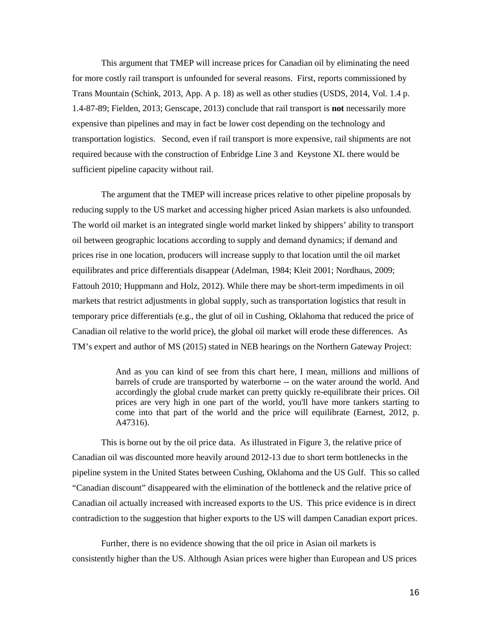This argument that TMEP will increase prices for Canadian oil by eliminating the need for more costly rail transport is unfounded for several reasons. First, reports commissioned by Trans Mountain (Schink, 2013, App. A p. 18) as well as other studies (USDS, 2014, Vol. 1.4 p. 1.4-87-89; Fielden, 2013; Genscape, 2013) conclude that rail transport is **not** necessarily more expensive than pipelines and may in fact be lower cost depending on the technology and transportation logistics. Second, even if rail transport is more expensive, rail shipments are not required because with the construction of Enbridge Line 3 and Keystone XL there would be sufficient pipeline capacity without rail.

The argument that the TMEP will increase prices relative to other pipeline proposals by reducing supply to the US market and accessing higher priced Asian markets is also unfounded. The world oil market is an integrated single world market linked by shippers' ability to transport oil between geographic locations according to supply and demand dynamics; if demand and prices rise in one location, producers will increase supply to that location until the oil market equilibrates and price differentials disappear (Adelman, 1984; Kleit 2001; Nordhaus, 2009; Fattouh 2010; Huppmann and Holz, 2012). While there may be short-term impediments in oil markets that restrict adjustments in global supply, such as transportation logistics that result in temporary price differentials (e.g., the glut of oil in Cushing, Oklahoma that reduced the price of Canadian oil relative to the world price), the global oil market will erode these differences. As TM's expert and author of MS (2015) stated in NEB hearings on the Northern Gateway Project:

> And as you can kind of see from this chart here, I mean, millions and millions of barrels of crude are transported by waterborne -- on the water around the world. And accordingly the global crude market can pretty quickly re-equilibrate their prices. Oil prices are very high in one part of the world, you'll have more tankers starting to come into that part of the world and the price will equilibrate (Earnest, 2012, p. A47316).

This is borne out by the oil price data. As illustrated in Figure 3, the relative price of Canadian oil was discounted more heavily around 2012-13 due to short term bottlenecks in the pipeline system in the United States between Cushing, Oklahoma and the US Gulf. This so called "Canadian discount" disappeared with the elimination of the bottleneck and the relative price of Canadian oil actually increased with increased exports to the US. This price evidence is in direct contradiction to the suggestion that higher exports to the US will dampen Canadian export prices.

Further, there is no evidence showing that the oil price in Asian oil markets is consistently higher than the US. Although Asian prices were higher than European and US prices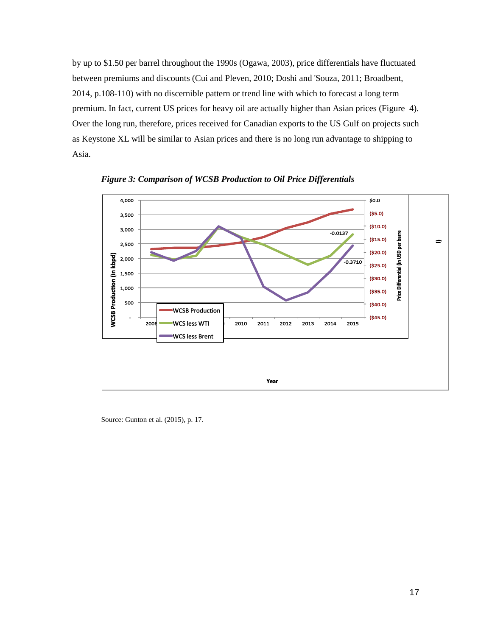by up to \$1.50 per barrel throughout the 1990s (Ogawa, 2003), price differentials have fluctuated between premiums and discounts (Cui and Pleven, 2010; Doshi and 'Souza, 2011; Broadbent, 2014, p.108-110) with no discernible pattern or trend line with which to forecast a long term premium. In fact, current US prices for heavy oil are actually higher than Asian prices (Figure 4). Over the long run, therefore, prices received for Canadian exports to the US Gulf on projects such as Keystone XL will be similar to Asian prices and there is no long run advantage to shipping to Asia.



*Figure 3: Comparison of WCSB Production to Oil Price Differentials*

Source: Gunton et al. (2015), p. 17.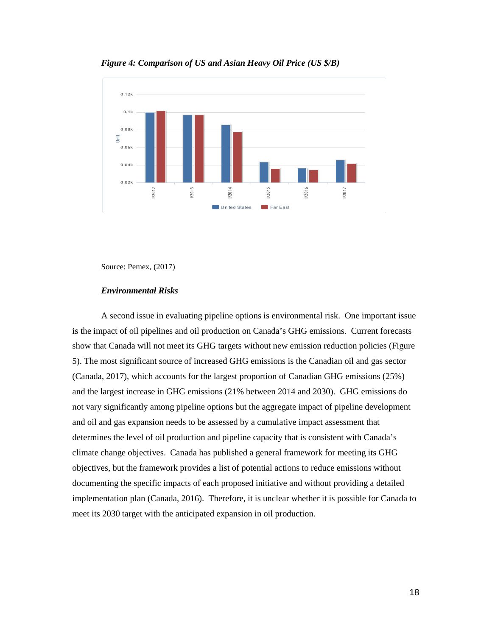

*Figure 4: Comparison of US and Asian Heavy Oil Price (US \$/B)*

Source: Pemex, (2017)

#### *Environmental Risks*

A second issue in evaluating pipeline options is environmental risk. One important issue is the impact of oil pipelines and oil production on Canada's GHG emissions. Current forecasts show that Canada will not meet its GHG targets without new emission reduction policies (Figure 5). The most significant source of increased GHG emissions is the Canadian oil and gas sector (Canada, 2017), which accounts for the largest proportion of Canadian GHG emissions (25%) and the largest increase in GHG emissions (21% between 2014 and 2030). GHG emissions do not vary significantly among pipeline options but the aggregate impact of pipeline development and oil and gas expansion needs to be assessed by a cumulative impact assessment that determines the level of oil production and pipeline capacity that is consistent with Canada's climate change objectives. Canada has published a general framework for meeting its GHG objectives, but the framework provides a list of potential actions to reduce emissions without documenting the specific impacts of each proposed initiative and without providing a detailed implementation plan (Canada, 2016). Therefore, it is unclear whether it is possible for Canada to meet its 2030 target with the anticipated expansion in oil production.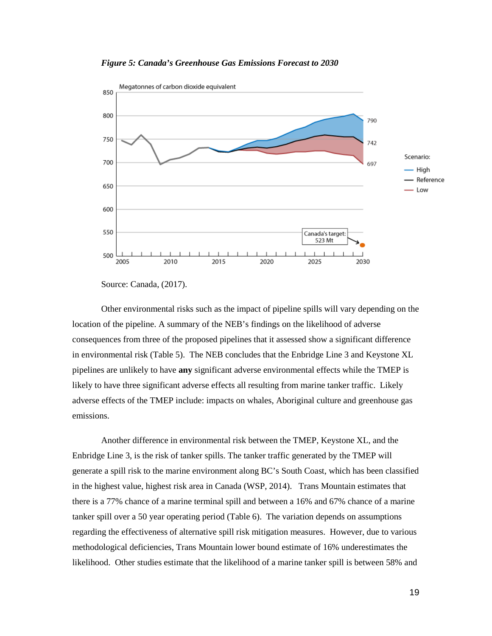*Figure 5: Canada's Greenhouse Gas Emissions Forecast to 2030*



Source: Canada, (2017).

Other environmental risks such as the impact of pipeline spills will vary depending on the location of the pipeline. A summary of the NEB's findings on the likelihood of adverse consequences from three of the proposed pipelines that it assessed show a significant difference in environmental risk (Table 5). The NEB concludes that the Enbridge Line 3 and Keystone XL pipelines are unlikely to have **any** significant adverse environmental effects while the TMEP is likely to have three significant adverse effects all resulting from marine tanker traffic. Likely adverse effects of the TMEP include: impacts on whales, Aboriginal culture and greenhouse gas emissions.

Another difference in environmental risk between the TMEP, Keystone XL, and the Enbridge Line 3, is the risk of tanker spills. The tanker traffic generated by the TMEP will generate a spill risk to the marine environment along BC's South Coast, which has been classified in the highest value, highest risk area in Canada (WSP, 2014). Trans Mountain estimates that there is a 77% chance of a marine terminal spill and between a 16% and 67% chance of a marine tanker spill over a 50 year operating period (Table 6). The variation depends on assumptions regarding the effectiveness of alternative spill risk mitigation measures. However, due to various methodological deficiencies, Trans Mountain lower bound estimate of 16% underestimates the likelihood. Other studies estimate that the likelihood of a marine tanker spill is between 58% and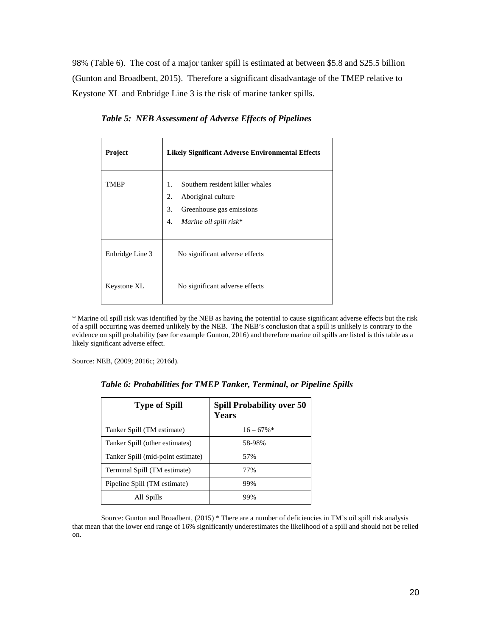98% (Table 6). The cost of a major tanker spill is estimated at between \$5.8 and \$25.5 billion (Gunton and Broadbent, 2015). Therefore a significant disadvantage of the TMEP relative to Keystone XL and Enbridge Line 3 is the risk of marine tanker spills.

| Project         | <b>Likely Significant Adverse Environmental Effects</b>                                                                             |
|-----------------|-------------------------------------------------------------------------------------------------------------------------------------|
| TMEP            | Southern resident killer whales<br>1.<br>Aboriginal culture<br>2.<br>Greenhouse gas emissions<br>3.<br>Marine oil spill risk*<br>4. |
| Enbridge Line 3 | No significant adverse effects                                                                                                      |
| Keystone XL     | No significant adverse effects                                                                                                      |

*Table 5: NEB Assessment of Adverse Effects of Pipelines*

\* Marine oil spill risk was identified by the NEB as having the potential to cause significant adverse effects but the risk of a spill occurring was deemed unlikely by the NEB. The NEB's conclusion that a spill is unlikely is contrary to the evidence on spill probability (see for example Gunton, 2016) and therefore marine oil spills are listed is this table as a likely significant adverse effect.

Source: NEB, (2009; 2016c; 2016d).

| <b>Type of Spill</b>           | <b>Spill Probability over 50</b><br><b>Years</b> |
|--------------------------------|--------------------------------------------------|
| Tanker Spill (TM estimate)     | $16 - 67\%$                                      |
| Tanker Spill (other estimates) | 58-98%                                           |

Tanker Spill (mid-point estimate) 57% Terminal Spill (TM estimate) 77% Pipeline Spill (TM estimate) 99%

All Spills 99%

*Table 6: Probabilities for TMEP Tanker, Terminal, or Pipeline Spills*

Source: Gunton and Broadbent, (2015) \* There are a number of deficiencies in TM's oil spill risk analysis that mean that the lower end range of 16% significantly underestimates the likelihood of a spill and should not be relied on.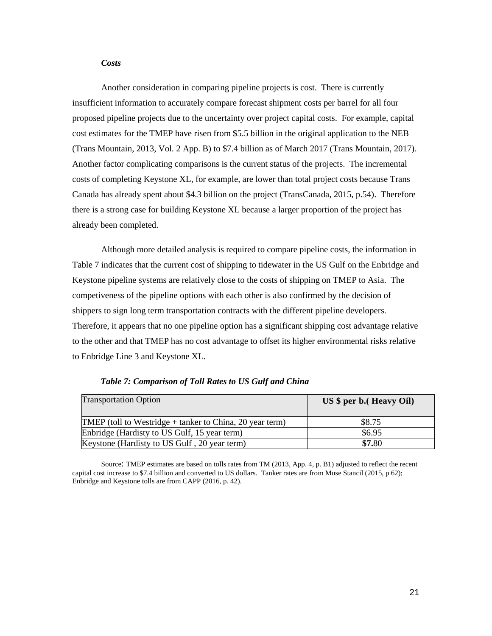#### *Costs*

Another consideration in comparing pipeline projects is cost. There is currently insufficient information to accurately compare forecast shipment costs per barrel for all four proposed pipeline projects due to the uncertainty over project capital costs. For example, capital cost estimates for the TMEP have risen from \$5.5 billion in the original application to the NEB (Trans Mountain, 2013, Vol. 2 App. B) to \$7.4 billion as of March 2017 (Trans Mountain, 2017). Another factor complicating comparisons is the current status of the projects. The incremental costs of completing Keystone XL, for example, are lower than total project costs because Trans Canada has already spent about \$4.3 billion on the project (TransCanada, 2015, p.54). Therefore there is a strong case for building Keystone XL because a larger proportion of the project has already been completed.

Although more detailed analysis is required to compare pipeline costs, the information in Table 7 indicates that the current cost of shipping to tidewater in the US Gulf on the Enbridge and Keystone pipeline systems are relatively close to the costs of shipping on TMEP to Asia. The competiveness of the pipeline options with each other is also confirmed by the decision of shippers to sign long term transportation contracts with the different pipeline developers. Therefore, it appears that no one pipeline option has a significant shipping cost advantage relative to the other and that TMEP has no cost advantage to offset its higher environmental risks relative to Enbridge Line 3 and Keystone XL.

| <b>Transportation Option</b>                               | $US$ \$ per b. (Heavy Oil) |
|------------------------------------------------------------|----------------------------|
| TMEP (toll to Westridge $+$ tanker to China, 20 year term) | \$8.75                     |
| Enbridge (Hardisty to US Gulf, 15 year term)               | \$6.95                     |
| Keystone (Hardisty to US Gulf, 20 year term)               | \$7.80                     |

*Table 7: Comparison of Toll Rates to US Gulf and China*

Source: TMEP estimates are based on tolls rates from TM (2013, App. 4, p. B1) adjusted to reflect the recent capital cost increase to \$7.4 billion and converted to US dollars. Tanker rates are from Muse Stancil (2015, p 62); Enbridge and Keystone tolls are from CAPP (2016, p. 42).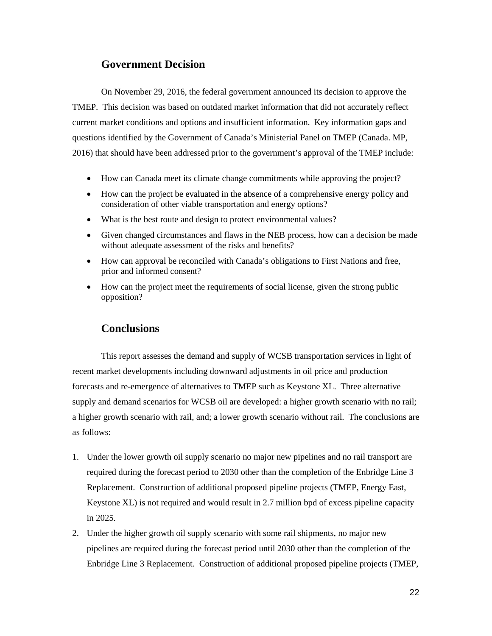## **Government Decision**

On November 29, 2016, the federal government announced its decision to approve the TMEP. This decision was based on outdated market information that did not accurately reflect current market conditions and options and insufficient information. Key information gaps and questions identified by the Government of Canada's Ministerial Panel on TMEP (Canada. MP, 2016) that should have been addressed prior to the government's approval of the TMEP include:

- How can Canada meet its climate change commitments while approving the project?
- How can the project be evaluated in the absence of a comprehensive energy policy and consideration of other viable transportation and energy options?
- What is the best route and design to protect environmental values?
- Given changed circumstances and flaws in the NEB process, how can a decision be made without adequate assessment of the risks and benefits?
- How can approval be reconciled with Canada's obligations to First Nations and free, prior and informed consent?
- How can the project meet the requirements of social license, given the strong public opposition?

## **Conclusions**

This report assesses the demand and supply of WCSB transportation services in light of recent market developments including downward adjustments in oil price and production forecasts and re-emergence of alternatives to TMEP such as Keystone XL. Three alternative supply and demand scenarios for WCSB oil are developed: a higher growth scenario with no rail; a higher growth scenario with rail, and; a lower growth scenario without rail. The conclusions are as follows:

- 1. Under the lower growth oil supply scenario no major new pipelines and no rail transport are required during the forecast period to 2030 other than the completion of the Enbridge Line 3 Replacement. Construction of additional proposed pipeline projects (TMEP, Energy East, Keystone XL) is not required and would result in 2.7 million bpd of excess pipeline capacity in 2025.
- 2. Under the higher growth oil supply scenario with some rail shipments, no major new pipelines are required during the forecast period until 2030 other than the completion of the Enbridge Line 3 Replacement. Construction of additional proposed pipeline projects (TMEP,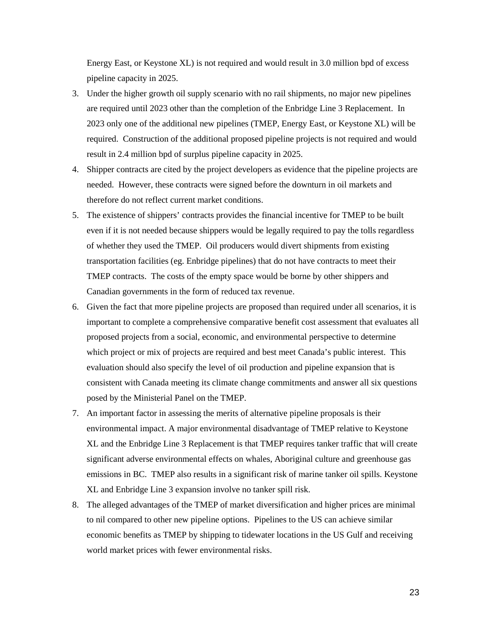Energy East, or Keystone XL) is not required and would result in 3.0 million bpd of excess pipeline capacity in 2025.

- 3. Under the higher growth oil supply scenario with no rail shipments, no major new pipelines are required until 2023 other than the completion of the Enbridge Line 3 Replacement. In 2023 only one of the additional new pipelines (TMEP, Energy East, or Keystone XL) will be required. Construction of the additional proposed pipeline projects is not required and would result in 2.4 million bpd of surplus pipeline capacity in 2025.
- 4. Shipper contracts are cited by the project developers as evidence that the pipeline projects are needed. However, these contracts were signed before the downturn in oil markets and therefore do not reflect current market conditions.
- 5. The existence of shippers' contracts provides the financial incentive for TMEP to be built even if it is not needed because shippers would be legally required to pay the tolls regardless of whether they used the TMEP. Oil producers would divert shipments from existing transportation facilities (eg. Enbridge pipelines) that do not have contracts to meet their TMEP contracts. The costs of the empty space would be borne by other shippers and Canadian governments in the form of reduced tax revenue.
- 6. Given the fact that more pipeline projects are proposed than required under all scenarios, it is important to complete a comprehensive comparative benefit cost assessment that evaluates all proposed projects from a social, economic, and environmental perspective to determine which project or mix of projects are required and best meet Canada's public interest. This evaluation should also specify the level of oil production and pipeline expansion that is consistent with Canada meeting its climate change commitments and answer all six questions posed by the Ministerial Panel on the TMEP.
- 7. An important factor in assessing the merits of alternative pipeline proposals is their environmental impact. A major environmental disadvantage of TMEP relative to Keystone XL and the Enbridge Line 3 Replacement is that TMEP requires tanker traffic that will create significant adverse environmental effects on whales, Aboriginal culture and greenhouse gas emissions in BC. TMEP also results in a significant risk of marine tanker oil spills. Keystone XL and Enbridge Line 3 expansion involve no tanker spill risk.
- 8. The alleged advantages of the TMEP of market diversification and higher prices are minimal to nil compared to other new pipeline options. Pipelines to the US can achieve similar economic benefits as TMEP by shipping to tidewater locations in the US Gulf and receiving world market prices with fewer environmental risks.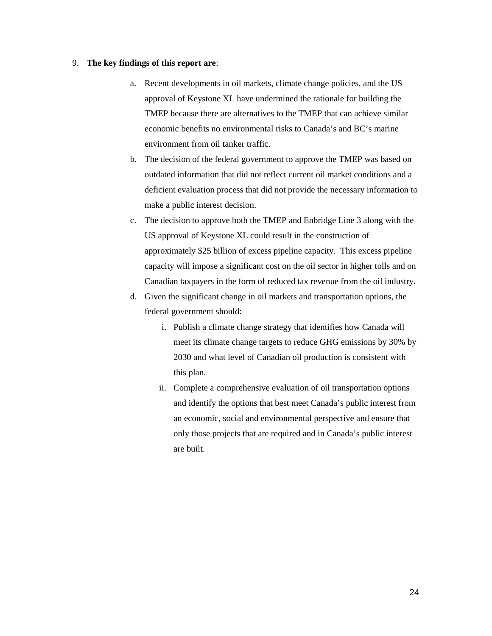#### 9. **The key findings of this report are**:

- a. Recent developments in oil markets, climate change policies, and the US approval of Keystone XL have undermined the rationale for building the TMEP because there are alternatives to the TMEP that can achieve similar economic benefits no environmental risks to Canada's and BC's marine environment from oil tanker traffic.
- b. The decision of the federal government to approve the TMEP was based on outdated information that did not reflect current oil market conditions and a deficient evaluation process that did not provide the necessary information to make a public interest decision.
- c. The decision to approve both the TMEP and Enbridge Line 3 along with the US approval of Keystone XL could result in the construction of approximately \$25 billion of excess pipeline capacity. This excess pipeline capacity will impose a significant cost on the oil sector in higher tolls and on Canadian taxpayers in the form of reduced tax revenue from the oil industry.
- d. Given the significant change in oil markets and transportation options, the federal government should:
	- i. Publish a climate change strategy that identifies how Canada will meet its climate change targets to reduce GHG emissions by 30% by 2030 and what level of Canadian oil production is consistent with this plan.
	- ii. Complete a comprehensive evaluation of oil transportation options and identify the options that best meet Canada's public interest from an economic, social and environmental perspective and ensure that only those projects that are required and in Canada's public interest are built.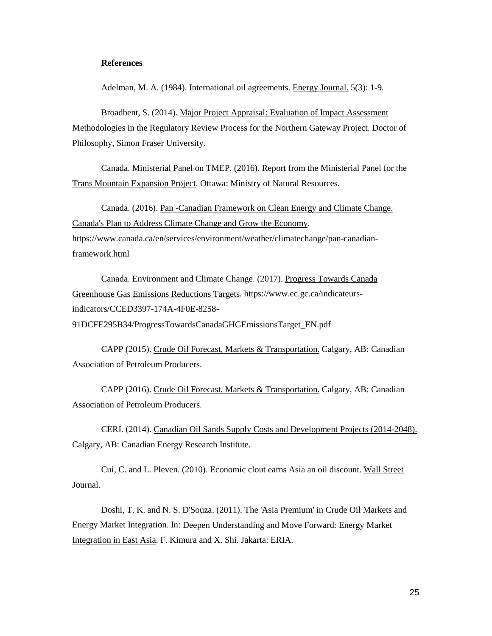#### **References**

Adelman, M. A. (1984). International oil agreements. Energy Journal. 5(3): 1-9.

Broadbent, S. (2014). Major Project Appraisal: Evaluation of Impact Assessment Methodologies in the Regulatory Review Process for the Northern Gateway Project . Doctor of Philosophy, Simon Fraser University.

Canada. Ministerial Panel on TMEP. (2016). Report from the Ministerial Panel for the Trans Mountain Expansion Project . Ottawa: Ministry of Natural Resources.

Canada. (2016). Pan -Canadian Framework on Clean Energy and Climate Change. Canada's Plan to Address Climate Change and Grow the Economy . https://www.canada.ca/en/services/environment/weather/climatechange/pan-canadianframework.html

Canada. Environment and Climate Change. (2017). Progress Towards Canada Greenhouse Gas Emissions Reductions Targets . https://www.ec.gc.ca/indicateursindicators/CCED3397-174A-4F0E-8258- 91DCFE295B34/ProgressTowardsCanadaGHGEmissionsTarget\_EN.pdf

CAPP (2015). Crude Oil Forecast, Markets & Transportation. Calgary, AB: Canadian Association of Petroleum Producers.

CAPP (2016). Crude Oil Forecast, Markets & Transportation. Calgary, AB: Canadian Association of Petroleum Producers.

CERI. (2014). Canadian Oil Sands Supply Costs and Development Projects (2014-2048). Calgary, AB: Canadian Energy Research Institute.

Cui, C. and L. Pleven. (2010). Economic clout earns Asia an oil discount. Wall Street Journal.

Doshi, T. K. and N. S. D'Souza. (2011). The 'Asia Premium' in Crude Oil Markets and Energy Market Integration. In: Deepen Understanding and Move Forward: Energy Market Integration in East Asia. F. Kimura and X. Shi. Jakarta: ERIA.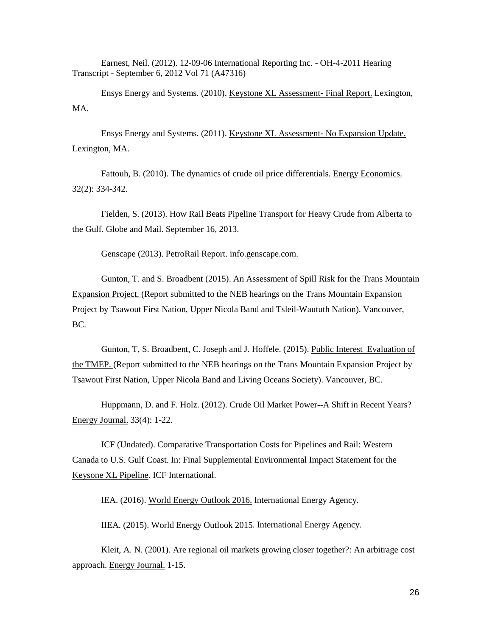Earnest, Neil. (2012). 12-09-06 International Reporting Inc. - OH-4-2011 Hearing Transcript - September 6, 2012 Vol 71 (A47316)

Ensys Energy and Systems. (2010). Keystone XL Assessment- Final Report. Lexington, MA.

Ensys Energy and Systems. (2011). Keystone XL Assessment‐ No Expansion Update. Lexington, MA.

Fattouh, B. (2010). The dynamics of crude oil price differentials. Energy Economics. 32(2): 334-342.

Fielden, S. (2013). How Rail Beats Pipeline Transport for Heavy Crude from Alberta to the Gulf. Globe and Mail. September 16, 2013.

Genscape (2013). PetroRail Report. info.genscape.com.

Gunton, T. and S. Broadbent (2015). An Assessment of Spill Risk for the Trans Mountain Expansion Project. (Report submitted to the NEB hearings on the Trans Mountain Expansion Project by Tsawout First Nation, Upper Nicola Band and Tsleil-Waututh Nation). Vancouver, BC.

Gunton, T, S. Broadbent, C. Joseph and J. Hoffele. (2015). Public Interest Evaluation of the TMEP. (Report submitted to the NEB hearings on the Trans Mountain Expansion Project by Tsawout First Nation, Upper Nicola Band and Living Oceans Society). Vancouver, BC.

Huppmann, D. and F. Holz. (2012). Crude Oil Market Power--A Shift in Recent Years? Energy Journal. 33(4): 1-22.

ICF (Undated). Comparative Transportation Costs for Pipelines and Rail: Western Canada to U.S. Gulf Coast. In: Final Supplemental Environmental Impact Statement for the Keysone XL Pipeline . ICF International.

IEA. (2016). World Energy Outlook 2016. International Energy Agency.

IIEA. (2015). World Energy Outlook 2015. International Energy Agency.

Kleit, A. N. (2001). Are regional oil markets growing closer together?: An arbitrage cost approach. Energy Journal. 1-15.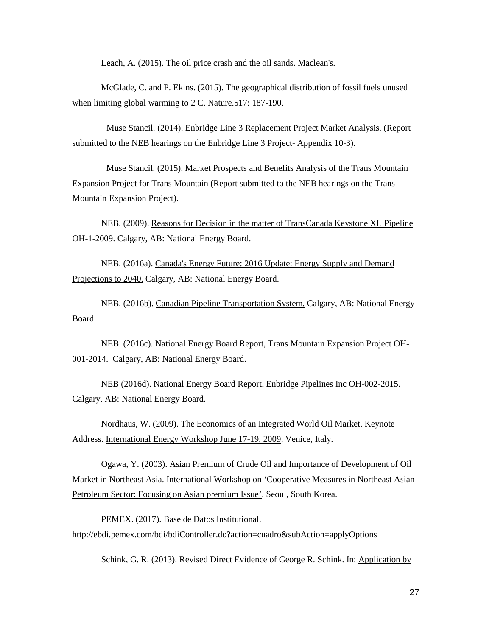Leach, A. (2015). The oil price crash and the oil sands. Maclean's.

McGlade, C. and P. Ekins. (2015). The geographical distribution of fossil fuels unused when limiting global warming to 2 C. Nature 517: 187-190.

Muse Stancil. (2014). Enbridge Line 3 Replacement Project Market Analysis. (Report submitted to the NEB hearings on the Enbridge Line 3 Project- Appendix 10-3).

Muse Stancil. (2015). Market Prospects and Benefits Analysis of the Trans Mountain Expansion Project for Trans Mountain (Report submitted to the NEB hearings on the Trans Mountain Expansion Project).

NEB. (2009). Reasons for Decision in the matter of TransCanada Keystone XL Pipeline OH-1-2009. Calgary, AB: National Energy Board.

NEB. (2016a). Canada's Energy Future: 2016 Update: Energy Supply and Demand Projections to 2040. Calgary, AB: National Energy Board.

NEB. (2016b). Canadian Pipeline Transportation System. Calgary, AB: National Energy Board.

NEB. (2016c). National Energy Board Report, Trans Mountain Expansion Project OH-001-2014. Calgary, AB: National Energy Board.

NEB (2016d). National Energy Board Report, Enbridge Pipelines Inc OH-002-2015. Calgary, AB: National Energy Board.

Nordhaus, W. (2009). The Economics of an Integrated World Oil Market. Keynote Address. International Energy Workshop June 17-19, 2009. Venice, Italy.

Ogawa, Y. (2003). Asian Premium of Crude Oil and Importance of Development of Oil Market in Northeast Asia. International Workshop on 'Cooperative Measures in Northeast Asian Petroleum Sector: Focusing on Asian premium Issue'. Seoul, South Korea.

PEMEX. (2017). Base de Datos Institutional. http://ebdi.pemex.com/bdi/bdiController.do?action=cuadro&subAction=applyOptions

Schink, G. R. (2013). Revised Direct Evidence of George R. Schink. In: Application by